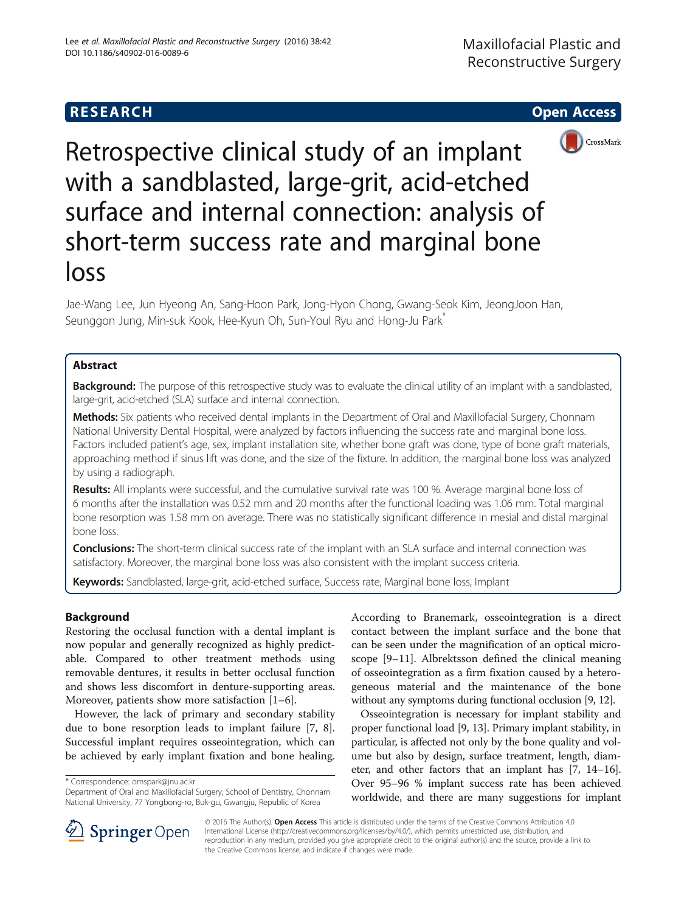



Retrospective clinical study of an implant with a sandblasted, large-grit, acid-etched surface and internal connection: analysis of short-term success rate and marginal bone loss

Jae-Wang Lee, Jun Hyeong An, Sang-Hoon Park, Jong-Hyon Chong, Gwang-Seok Kim, JeongJoon Han, Seunggon Jung, Min-suk Kook, Hee-Kyun Oh, Sun-Youl Ryu and Hong-Ju Park\*

# Abstract

**Background:** The purpose of this retrospective study was to evaluate the clinical utility of an implant with a sandblasted, large-grit, acid-etched (SLA) surface and internal connection.

Methods: Six patients who received dental implants in the Department of Oral and Maxillofacial Surgery, Chonnam National University Dental Hospital, were analyzed by factors influencing the success rate and marginal bone loss. Factors included patient's age, sex, implant installation site, whether bone graft was done, type of bone graft materials, approaching method if sinus lift was done, and the size of the fixture. In addition, the marginal bone loss was analyzed by using a radiograph.

Results: All implants were successful, and the cumulative survival rate was 100 %. Average marginal bone loss of 6 months after the installation was 0.52 mm and 20 months after the functional loading was 1.06 mm. Total marginal bone resorption was 1.58 mm on average. There was no statistically significant difference in mesial and distal marginal bone loss.

Conclusions: The short-term clinical success rate of the implant with an SLA surface and internal connection was satisfactory. Moreover, the marginal bone loss was also consistent with the implant success criteria.

Keywords: Sandblasted, large-grit, acid-etched surface, Success rate, Marginal bone loss, Implant

# Background

Restoring the occlusal function with a dental implant is now popular and generally recognized as highly predictable. Compared to other treatment methods using removable dentures, it results in better occlusal function and shows less discomfort in denture-supporting areas. Moreover, patients show more satisfaction [\[1](#page-5-0)–[6\]](#page-5-0).

However, the lack of primary and secondary stability due to bone resorption leads to implant failure [[7](#page-5-0), [8](#page-5-0)]. Successful implant requires osseointegration, which can be achieved by early implant fixation and bone healing.

\* Correspondence: [omspark@jnu.ac.kr](mailto:omspark@jnu.ac.kr)

According to Branemark, osseointegration is a direct contact between the implant surface and the bone that can be seen under the magnification of an optical microscope [\[9](#page-5-0)–[11\]](#page-5-0). Albrektsson defined the clinical meaning of osseointegration as a firm fixation caused by a heterogeneous material and the maintenance of the bone without any symptoms during functional occlusion [[9, 12\]](#page-5-0).

Osseointegration is necessary for implant stability and proper functional load [[9, 13](#page-5-0)]. Primary implant stability, in particular, is affected not only by the bone quality and volume but also by design, surface treatment, length, diameter, and other factors that an implant has [\[7](#page-5-0), [14](#page-5-0)–[16](#page-5-0)]. Over 95–96 % implant success rate has been achieved worldwide, and there are many suggestions for implant



© 2016 The Author(s). Open Access This article is distributed under the terms of the Creative Commons Attribution 4.0 International License ([http://creativecommons.org/licenses/by/4.0/\)](http://creativecommons.org/licenses/by/4.0/), which permits unrestricted use, distribution, and reproduction in any medium, provided you give appropriate credit to the original author(s) and the source, provide a link to the Creative Commons license, and indicate if changes were made.

Department of Oral and Maxillofacial Surgery, School of Dentistry, Chonnam National University, 77 Yongbong-ro, Buk-gu, Gwangju, Republic of Korea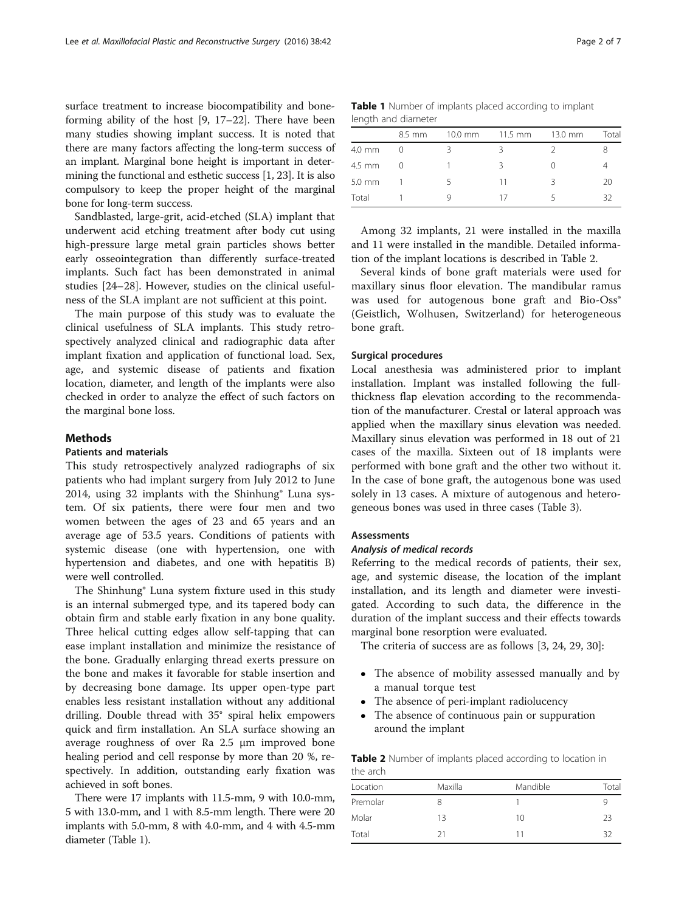surface treatment to increase biocompatibility and boneforming ability of the host [\[9, 17](#page-5-0)–[22](#page-5-0)]. There have been many studies showing implant success. It is noted that there are many factors affecting the long-term success of an implant. Marginal bone height is important in determining the functional and esthetic success [[1, 23\]](#page-5-0). It is also compulsory to keep the proper height of the marginal bone for long-term success.

Sandblasted, large-grit, acid-etched (SLA) implant that underwent acid etching treatment after body cut using high-pressure large metal grain particles shows better early osseointegration than differently surface-treated implants. Such fact has been demonstrated in animal studies [[24](#page-5-0)–[28](#page-5-0)]. However, studies on the clinical usefulness of the SLA implant are not sufficient at this point.

The main purpose of this study was to evaluate the clinical usefulness of SLA implants. This study retrospectively analyzed clinical and radiographic data after implant fixation and application of functional load. Sex, age, and systemic disease of patients and fixation location, diameter, and length of the implants were also checked in order to analyze the effect of such factors on the marginal bone loss.

## **Methods**

#### Patients and materials

This study retrospectively analyzed radiographs of six patients who had implant surgery from July 2012 to June 2014, using 32 implants with the Shinhung® Luna system. Of six patients, there were four men and two women between the ages of 23 and 65 years and an average age of 53.5 years. Conditions of patients with systemic disease (one with hypertension, one with hypertension and diabetes, and one with hepatitis B) were well controlled.

The Shinhung® Luna system fixture used in this study is an internal submerged type, and its tapered body can obtain firm and stable early fixation in any bone quality. Three helical cutting edges allow self-tapping that can ease implant installation and minimize the resistance of the bone. Gradually enlarging thread exerts pressure on the bone and makes it favorable for stable insertion and by decreasing bone damage. Its upper open-type part enables less resistant installation without any additional drilling. Double thread with 35° spiral helix empowers quick and firm installation. An SLA surface showing an average roughness of over Ra 2.5 μm improved bone healing period and cell response by more than 20 %, respectively. In addition, outstanding early fixation was achieved in soft bones.

There were 17 implants with 11.5-mm, 9 with 10.0-mm, 5 with 13.0-mm, and 1 with 8.5-mm length. There were 20 implants with 5.0-mm, 8 with 4.0-mm, and 4 with 4.5-mm diameter (Table 1).

Table 1 Number of implants placed according to implant length and diameter

|                  | 8.5 mm | $10.0$ mm | $11.5$ mm | 13.0 mm | Total |
|------------------|--------|-----------|-----------|---------|-------|
| 4.0 mm           |        |           |           |         |       |
| 4.5 mm           |        |           | ર         |         |       |
| $5.0 \text{ mm}$ |        | ╮         | 11        | Κ       | 20    |
| Total            |        |           | 1/        | ∽       | 32    |

Among 32 implants, 21 were installed in the maxilla and 11 were installed in the mandible. Detailed information of the implant locations is described in Table 2.

Several kinds of bone graft materials were used for maxillary sinus floor elevation. The mandibular ramus was used for autogenous bone graft and Bio-Oss® (Geistlich, Wolhusen, Switzerland) for heterogeneous bone graft.

## Surgical procedures

Local anesthesia was administered prior to implant installation. Implant was installed following the fullthickness flap elevation according to the recommendation of the manufacturer. Crestal or lateral approach was applied when the maxillary sinus elevation was needed. Maxillary sinus elevation was performed in 18 out of 21 cases of the maxilla. Sixteen out of 18 implants were performed with bone graft and the other two without it. In the case of bone graft, the autogenous bone was used solely in 13 cases. A mixture of autogenous and heterogeneous bones was used in three cases (Table [3](#page-2-0)).

# Assessments

# Analysis of medical records

Referring to the medical records of patients, their sex, age, and systemic disease, the location of the implant installation, and its length and diameter were investigated. According to such data, the difference in the duration of the implant success and their effects towards marginal bone resorption were evaluated.

The criteria of success are as follows [\[3, 24, 29, 30\]](#page-5-0):

- The absence of mobility assessed manually and by a manual torque test
- The absence of peri-implant radiolucency
- The absence of continuous pain or suppuration around the implant

Table 2 Number of implants placed according to location in the arch

| Location | Maxilla | Mandible | Total |
|----------|---------|----------|-------|
| Premolar |         |          | Q,    |
| Molar    | 13      | 10       | 23    |
| Total    | 71      | 11       | 32    |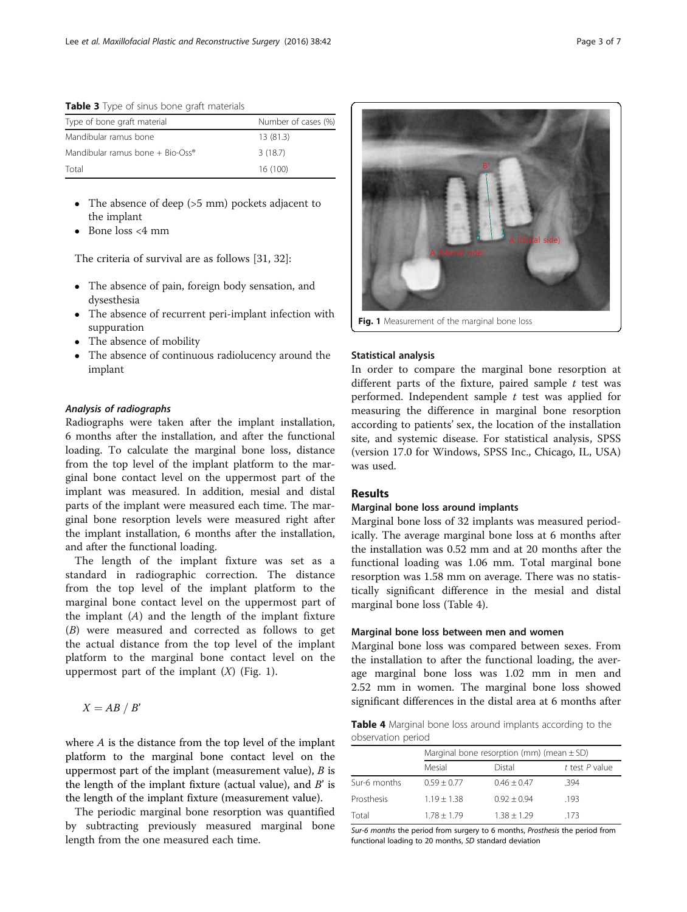<span id="page-2-0"></span>Table 3 Type of sinus bone graft materials

| Type of bone graft material                    | Number of cases (%) |
|------------------------------------------------|---------------------|
| Mandibular ramus bone                          | 13(81.3)            |
| Mandibular ramus bone $+$ Bio-Oss <sup>®</sup> | 3(18.7)             |
| Total                                          | 16 (100)            |

- The absence of deep (>5 mm) pockets adjacent to the implant
- Bone loss <4 mm

The criteria of survival are as follows [[31, 32](#page-5-0)]:

- The absence of pain, foreign body sensation, and dysesthesia
- The absence of recurrent peri-implant infection with suppuration
- The absence of mobility
- The absence of continuous radiolucency around the implant

# Analysis of radiographs

Radiographs were taken after the implant installation, 6 months after the installation, and after the functional loading. To calculate the marginal bone loss, distance from the top level of the implant platform to the marginal bone contact level on the uppermost part of the implant was measured. In addition, mesial and distal parts of the implant were measured each time. The marginal bone resorption levels were measured right after the implant installation, 6 months after the installation, and after the functional loading.

The length of the implant fixture was set as a standard in radiographic correction. The distance from the top level of the implant platform to the marginal bone contact level on the uppermost part of the implant  $(A)$  and the length of the implant fixture (B) were measured and corrected as follows to get the actual distance from the top level of the implant platform to the marginal bone contact level on the uppermost part of the implant  $(X)$  (Fig. 1).

$$
X=AB/B'
$$

where A is the distance from the top level of the implant platform to the marginal bone contact level on the uppermost part of the implant (measurement value),  $B$  is the length of the implant fixture (actual value), and  $B'$  is the length of the implant fixture (measurement value).

The periodic marginal bone resorption was quantified by subtracting previously measured marginal bone length from the one measured each time.

Fig. 1 Measurement of the marginal bone loss

## Statistical analysis

In order to compare the marginal bone resorption at different parts of the fixture, paired sample  $t$  test was performed. Independent sample  $t$  test was applied for measuring the difference in marginal bone resorption according to patients' sex, the location of the installation site, and systemic disease. For statistical analysis, SPSS (version 17.0 for Windows, SPSS Inc., Chicago, IL, USA) was used.

## Results

#### Marginal bone loss around implants

Marginal bone loss of 32 implants was measured periodically. The average marginal bone loss at 6 months after the installation was 0.52 mm and at 20 months after the functional loading was 1.06 mm. Total marginal bone resorption was 1.58 mm on average. There was no statistically significant difference in the mesial and distal marginal bone loss (Table 4).

## Marginal bone loss between men and women

Marginal bone loss was compared between sexes. From the installation to after the functional loading, the average marginal bone loss was 1.02 mm in men and 2.52 mm in women. The marginal bone loss showed significant differences in the distal area at 6 months after

Table 4 Marginal bone loss around implants according to the observation period

|              | Marginal bone resorption (mm) (mean $\pm$ SD) |               |                    |  |  |
|--------------|-----------------------------------------------|---------------|--------------------|--|--|
|              | Mesial                                        | Distal        | $t$ test $P$ value |  |  |
| Sur-6 months | $0.59 + 0.77$                                 | $0.46 + 0.47$ | 394                |  |  |
| Prosthesis   | $1.19 + 1.38$                                 | $0.92 + 0.94$ | .193               |  |  |
| Total        | $1.78 + 1.79$                                 | $1.38 + 1.29$ | 173                |  |  |

Sur-6 months the period from surgery to 6 months, Prosthesis the period from functional loading to 20 months, SD standard deviation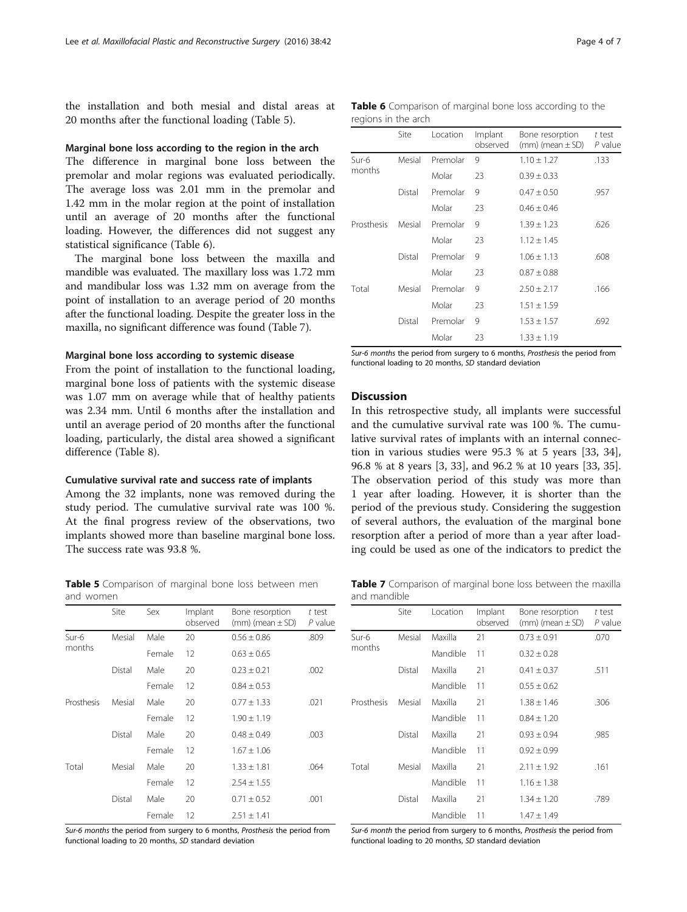the installation and both mesial and distal areas at 20 months after the functional loading (Table 5).

#### Marginal bone loss according to the region in the arch

The difference in marginal bone loss between the premolar and molar regions was evaluated periodically. The average loss was 2.01 mm in the premolar and 1.42 mm in the molar region at the point of installation until an average of 20 months after the functional loading. However, the differences did not suggest any statistical significance (Table 6).

The marginal bone loss between the maxilla and mandible was evaluated. The maxillary loss was 1.72 mm and mandibular loss was 1.32 mm on average from the point of installation to an average period of 20 months after the functional loading. Despite the greater loss in the maxilla, no significant difference was found (Table 7).

#### Marginal bone loss according to systemic disease

From the point of installation to the functional loading, marginal bone loss of patients with the systemic disease was 1.07 mm on average while that of healthy patients was 2.34 mm. Until 6 months after the installation and until an average period of 20 months after the functional loading, particularly, the distal area showed a significant difference (Table [8](#page-4-0)).

#### Cumulative survival rate and success rate of implants

Among the 32 implants, none was removed during the study period. The cumulative survival rate was 100 %. At the final progress review of the observations, two implants showed more than baseline marginal bone loss. The success rate was 93.8 %.

Table 5 Comparison of marginal bone loss between men and women

|            | Site   | Sex    | Implant<br>observed | Bone resorption<br>$(mm)$ (mean $\pm$ SD) | t test<br>P value |
|------------|--------|--------|---------------------|-------------------------------------------|-------------------|
| Sur-6      | Mesial | Male   | 20                  | $0.56 \pm 0.86$                           | .809              |
| months     |        | Female | 12                  | $0.63 \pm 0.65$                           |                   |
|            | Distal | Male   | 20                  | $0.23 \pm 0.21$                           | .002              |
|            |        | Female | 12                  | $0.84 \pm 0.53$                           |                   |
| Prosthesis | Mesial | Male   | 20                  | $0.77 \pm 1.33$                           | .021              |
|            |        | Female | 12                  | $1.90 \pm 1.19$                           |                   |
|            | Distal | Male   | 20                  | $0.48 \pm 0.49$                           | .003              |
|            |        | Female | 12                  | $1.67 + 1.06$                             |                   |
| Total      | Mesial | Male   | 20                  | $1.33 \pm 1.81$                           | .064              |
|            |        | Female | 12                  | $2.54 \pm 1.55$                           |                   |
|            | Distal | Male   | 20                  | $0.71 \pm 0.52$                           | .001              |
|            |        | Female | 12                  | $2.51 + 1.41$                             |                   |

Sur-6 months the period from surgery to 6 months, Prosthesis the period from functional loading to 20 months, SD standard deviation

| Table 6 Comparison of marginal bone loss according to the |  |  |  |
|-----------------------------------------------------------|--|--|--|
| regions in the arch                                       |  |  |  |

|            | Site   | Location | Implant<br>observed | Bone resorption<br>$(mm)$ (mean $\pm$ SD) | t test<br>P value |
|------------|--------|----------|---------------------|-------------------------------------------|-------------------|
| $Sur-6$    | Mesial | Premolar | 9                   | $1.10 \pm 1.27$                           | .133              |
| months     |        | Molar    | 23                  | $0.39 \pm 0.33$                           |                   |
|            | Distal | Premolar | 9                   | $0.47 \pm 0.50$                           | .957              |
|            |        | Molar    | 23                  | $0.46 + 0.46$                             |                   |
| Prosthesis | Mesial | Premolar | 9                   | $1.39 \pm 1.23$                           | .626              |
|            |        | Molar    | 23                  | $1.12 \pm 1.45$                           |                   |
|            | Distal | Premolar | 9                   | $1.06 + 1.13$                             | .608              |
|            |        | Molar    | 23                  | $0.87 \pm 0.88$                           |                   |
| Total      | Mesial | Premolar | 9                   | $2.50 \pm 2.17$                           | .166              |
|            |        | Molar    | 23                  | $1.51 \pm 1.59$                           |                   |
|            | Distal | Premolar | 9                   | $1.53 \pm 1.57$                           | .692              |
|            |        | Molar    | 23                  | $1.33 \pm 1.19$                           |                   |

Sur-6 months the period from surgery to 6 months, Prosthesis the period from functional loading to 20 months, SD standard deviation

# Discussion

In this retrospective study, all implants were successful and the cumulative survival rate was 100 %. The cumulative survival rates of implants with an internal connection in various studies were 95.3 % at 5 years [\[33](#page-5-0), [34](#page-5-0)], 96.8 % at 8 years [[3, 33\]](#page-5-0), and 96.2 % at 10 years [\[33](#page-5-0), [35](#page-5-0)]. The observation period of this study was more than 1 year after loading. However, it is shorter than the period of the previous study. Considering the suggestion of several authors, the evaluation of the marginal bone resorption after a period of more than a year after loading could be used as one of the indicators to predict the

Table 7 Comparison of marginal bone loss between the maxilla and mandible

|            | Site   | Location | Implant<br>observed | Bone resorption<br>$(mm)$ (mean $\pm$ SD) | t test<br>P value |
|------------|--------|----------|---------------------|-------------------------------------------|-------------------|
| Sur-6      | Mesial | Maxilla  | 21                  | $0.73 \pm 0.91$                           | .070              |
| months     |        | Mandible | 11                  | $0.32 \pm 0.28$                           |                   |
|            | Distal | Maxilla  | 21                  | $0.41 \pm 0.37$                           | .511              |
|            |        | Mandible | 11                  | $0.55 \pm 0.62$                           |                   |
| Prosthesis | Mesial | Maxilla  | 21                  | $1.38 \pm 1.46$                           | .306              |
|            |        | Mandible | 11                  | $0.84 \pm 1.20$                           |                   |
|            | Distal | Maxilla  | 21                  | $0.93 \pm 0.94$                           | .985              |
|            |        | Mandible | 11                  | $0.92 \pm 0.99$                           |                   |
| Total      | Mesial | Maxilla  | 21                  | $2.11 \pm 1.92$                           | .161              |
|            |        | Mandible | 11                  | $1.16 \pm 1.38$                           |                   |
|            | Distal | Maxilla  | 21                  | $1.34 \pm 1.20$                           | .789              |
|            |        | Mandible | 11                  | $1.47 \pm 1.49$                           |                   |

Sur-6 month the period from surgery to 6 months, Prosthesis the period from functional loading to 20 months, SD standard deviation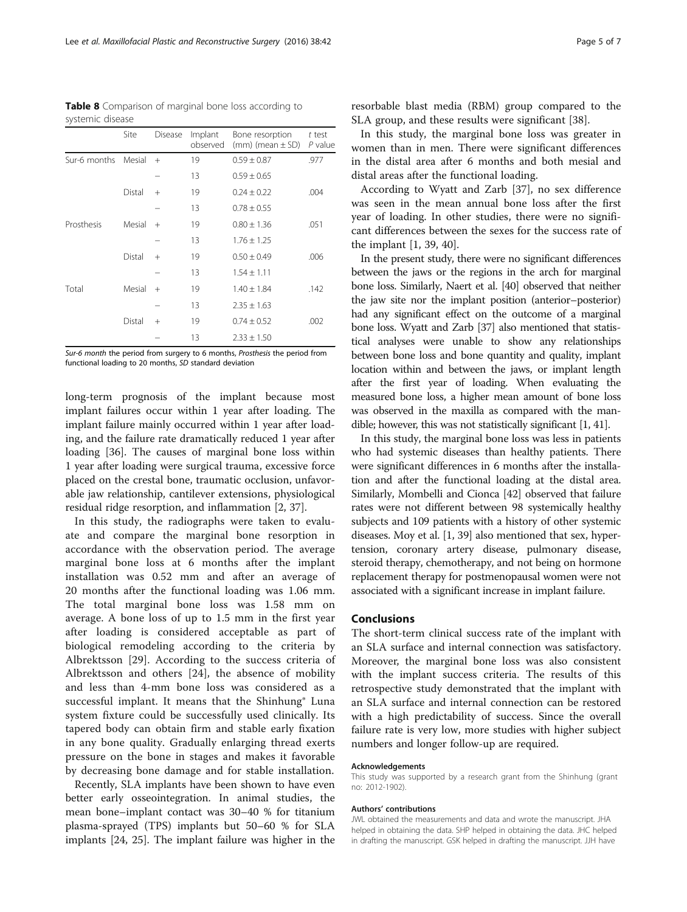<span id="page-4-0"></span>Table 8 Comparison of marginal bone loss according to systemic disease

|              | Site   | <b>Disease</b> | Implant<br>observed | Bone resorption<br>$(mm)$ (mean $\pm$ SD) | t test<br>P value |
|--------------|--------|----------------|---------------------|-------------------------------------------|-------------------|
| Sur-6 months | Mesial | $^{+}$         | 19                  | $0.59 \pm 0.87$                           | .977              |
|              |        |                | 13                  | $0.59 \pm 0.65$                           |                   |
|              | Distal | $^{+}$         | 19                  | $0.24 + 0.22$                             | .004              |
|              |        |                | 13                  | $0.78 \pm 0.55$                           |                   |
| Prosthesis   | Mesial | $+$            | 19                  | $0.80 \pm 1.36$                           | .051              |
|              |        |                | 13                  | $1.76 \pm 1.25$                           |                   |
|              | Distal | $+$            | 19                  | $0.50 \pm 0.49$                           | .006              |
|              |        |                | 13                  | $1.54 \pm 1.11$                           |                   |
| Total        | Mesial | $^{+}$         | 19                  | $1.40 \pm 1.84$                           | .142              |
|              |        |                | 13                  | $2.35 \pm 1.63$                           |                   |
|              | Distal | $+$            | 19                  | $0.74 \pm 0.52$                           | .002              |
|              |        |                | 13                  | $2.33 \pm 1.50$                           |                   |

Sur-6 month the period from surgery to 6 months, Prosthesis the period from functional loading to 20 months, SD standard deviation

long-term prognosis of the implant because most implant failures occur within 1 year after loading. The implant failure mainly occurred within 1 year after loading, and the failure rate dramatically reduced 1 year after loading [[36](#page-5-0)]. The causes of marginal bone loss within 1 year after loading were surgical trauma, excessive force placed on the crestal bone, traumatic occlusion, unfavorable jaw relationship, cantilever extensions, physiological residual ridge resorption, and inflammation [\[2](#page-5-0), [37\]](#page-5-0).

In this study, the radiographs were taken to evaluate and compare the marginal bone resorption in accordance with the observation period. The average marginal bone loss at 6 months after the implant installation was 0.52 mm and after an average of 20 months after the functional loading was 1.06 mm. The total marginal bone loss was 1.58 mm on average. A bone loss of up to 1.5 mm in the first year after loading is considered acceptable as part of biological remodeling according to the criteria by Albrektsson [[29\]](#page-5-0). According to the success criteria of Albrektsson and others [[24\]](#page-5-0), the absence of mobility and less than 4-mm bone loss was considered as a successful implant. It means that the Shinhung® Luna system fixture could be successfully used clinically. Its tapered body can obtain firm and stable early fixation in any bone quality. Gradually enlarging thread exerts pressure on the bone in stages and makes it favorable by decreasing bone damage and for stable installation.

Recently, SLA implants have been shown to have even better early osseointegration. In animal studies, the mean bone–implant contact was 30–40 % for titanium plasma-sprayed (TPS) implants but 50–60 % for SLA implants [[24, 25](#page-5-0)]. The implant failure was higher in the

resorbable blast media (RBM) group compared to the SLA group, and these results were significant [\[38](#page-5-0)].

In this study, the marginal bone loss was greater in women than in men. There were significant differences in the distal area after 6 months and both mesial and distal areas after the functional loading.

According to Wyatt and Zarb [\[37\]](#page-5-0), no sex difference was seen in the mean annual bone loss after the first year of loading. In other studies, there were no significant differences between the sexes for the success rate of the implant [\[1](#page-5-0), [39, 40\]](#page-6-0).

In the present study, there were no significant differences between the jaws or the regions in the arch for marginal bone loss. Similarly, Naert et al. [\[40](#page-6-0)] observed that neither the jaw site nor the implant position (anterior–posterior) had any significant effect on the outcome of a marginal bone loss. Wyatt and Zarb [\[37\]](#page-5-0) also mentioned that statistical analyses were unable to show any relationships between bone loss and bone quantity and quality, implant location within and between the jaws, or implant length after the first year of loading. When evaluating the measured bone loss, a higher mean amount of bone loss was observed in the maxilla as compared with the mandible; however, this was not statistically significant [\[1](#page-5-0), [41](#page-6-0)].

In this study, the marginal bone loss was less in patients who had systemic diseases than healthy patients. There were significant differences in 6 months after the installation and after the functional loading at the distal area. Similarly, Mombelli and Cionca [\[42](#page-6-0)] observed that failure rates were not different between 98 systemically healthy subjects and 109 patients with a history of other systemic diseases. Moy et al. [\[1](#page-5-0), [39](#page-6-0)] also mentioned that sex, hypertension, coronary artery disease, pulmonary disease, steroid therapy, chemotherapy, and not being on hormone replacement therapy for postmenopausal women were not associated with a significant increase in implant failure.

# Conclusions

The short-term clinical success rate of the implant with an SLA surface and internal connection was satisfactory. Moreover, the marginal bone loss was also consistent with the implant success criteria. The results of this retrospective study demonstrated that the implant with an SLA surface and internal connection can be restored with a high predictability of success. Since the overall failure rate is very low, more studies with higher subject numbers and longer follow-up are required.

#### Acknowledgements

This study was supported by a research grant from the Shinhung (grant no: 2012-1902).

## Authors' contributions

JWL obtained the measurements and data and wrote the manuscript. JHA helped in obtaining the data. SHP helped in obtaining the data. JHC helped in drafting the manuscript. GSK helped in drafting the manuscript. JJH have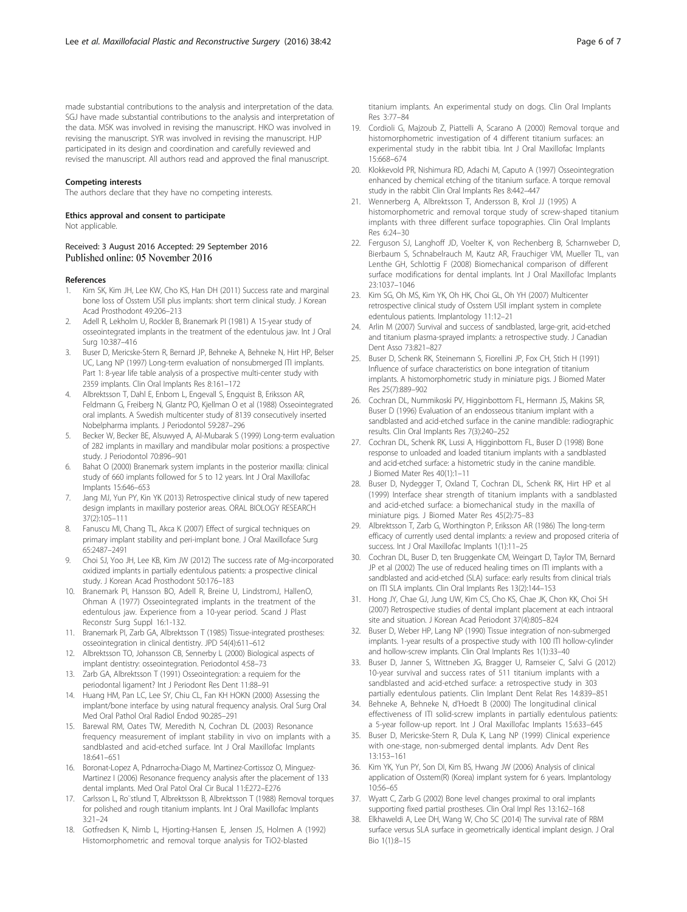<span id="page-5-0"></span>made substantial contributions to the analysis and interpretation of the data. SGJ have made substantial contributions to the analysis and interpretation of the data. MSK was involved in revising the manuscript. HKO was involved in revising the manuscript. SYR was involved in revising the manuscript. HJP participated in its design and coordination and carefully reviewed and revised the manuscript. All authors read and approved the final manuscript.

#### Competing interests

The authors declare that they have no competing interests.

# Ethics approval and consent to participate

Not applicable.

### Received: 3 August 2016 Accepted: 29 September 2016 Published online: 05 November 2016

#### References

- Kim SK, Kim JH, Lee KW, Cho KS, Han DH (2011) Success rate and marginal bone loss of Osstem USII plus implants: short term clinical study. J Korean Acad Prosthodont 49:206–213
- 2. Adell R, Lekholm U, Rockler B, Branemark PI (1981) A 15-year study of osseointegrated implants in the treatment of the edentulous jaw. Int J Oral Surg 10:387–416
- Buser D, Mericske-Stern R, Bernard JP, Behneke A, Behneke N, Hirt HP, Belser UC, Lang NP (1997) Long-term evaluation of nonsubmerged ITI implants. Part 1: 8-year life table analysis of a prospective multi-center study with 2359 implants. Clin Oral Implants Res 8:161–172
- 4. Albrektsson T, Dahl E, Enbom L, Engevall S, Engquist B, Eriksson AR, Feldmann G, Freiberg N, Glantz PO, Kjellman O et al (1988) Osseointegrated oral implants. A Swedish multicenter study of 8139 consecutively inserted Nobelpharma implants. J Periodontol 59:287–296
- 5. Becker W, Becker BE, Alsuwyed A, Al-Mubarak S (1999) Long-term evaluation of 282 implants in maxillary and mandibular molar positions: a prospective study. J Periodontol 70:896–901
- 6. Bahat O (2000) Branemark system implants in the posterior maxilla: clinical study of 660 implants followed for 5 to 12 years. Int J Oral Maxillofac Implants 15:646–653
- 7. Jang MJ, Yun PY, Kin YK (2013) Retrospective clinical study of new tapered design implants in maxillary posterior areas. ORAL BIOLOGY RESEARCH 37(2):105–111
- 8. Fanuscu MI, Chang TL, Akca K (2007) Effect of surgical techniques on primary implant stability and peri-implant bone. J Oral Maxilloface Surg 65:2487–2491
- 9. Choi SJ, Yoo JH, Lee KB, Kim JW (2012) The success rate of Mg-incorporated oxidized implants in partially edentulous patients: a prospective clinical study. J Korean Acad Prosthodont 50:176–183
- 10. Branemark PI, Hansson BO, Adell R, Breine U, LindstromJ, HallenO, Ohman A (1977) Osseointegrated implants in the treatment of the edentulous jaw. Experience from a 10-year period. Scand J Plast Reconstr Surg Suppl 16:1-132.
- 11. Branemark PI, Zarb GA, Albrektsson T (1985) Tissue-integrated prostheses: osseointegration in clinical dentistry. JPD 54(4):611–612
- 12. Albrektsson TO, Johansson CB, Sennerby L (2000) Biological aspects of implant dentistry: osseointegration. Periodontol 4:58–73
- 13. Zarb GA, Albrektsson T (1991) Osseointegration: a requiem for the periodontal ligament? Int J Periodont Res Dent 11:88–91
- 14. Huang HM, Pan LC, Lee SY, Chiu CL, Fan KH HOKN (2000) Assessing the implant/bone interface by using natural frequency analysis. Oral Surg Oral Med Oral Pathol Oral Radiol Endod 90:285–291
- 15. Barewal RM, Oates TW, Meredith N, Cochran DL (2003) Resonance frequency measurement of implant stability in vivo on implants with a sandblasted and acid-etched surface. Int J Oral Maxillofac Implants 18:641–651
- 16. Boronat-Lopez A, Pdnarrocha-Diago M, Martinez-Cortissoz O, Minguez-Martinez I (2006) Resonance frequency analysis after the placement of 133 dental implants. Med Oral Patol Oral Cir Bucal 11:E272–E276
- 17. Carlsson L, Ro¨stlund T, Albrektsson B, Albrektsson T (1988) Removal torques for polished and rough titanium implants. Int J Oral Maxillofac Implants 3:21–24
- 18. Gotfredsen K, Nimb L, Hjorting-Hansen E, Jensen JS, Holmen A (1992) Histomorphometric and removal torque analysis for TiO2-blasted

titanium implants. An experimental study on dogs. Clin Oral Implants Res 3:77–84

- 19. Cordioli G, Majzoub Z, Piattelli A, Scarano A (2000) Removal torque and histomorphometric investigation of 4 different titanium surfaces: an experimental study in the rabbit tibia. Int J Oral Maxillofac Implants 15:668–674
- 20. Klokkevold PR, Nishimura RD, Adachi M, Caputo A (1997) Osseointegration enhanced by chemical etching of the titanium surface. A torque removal study in the rabbit Clin Oral Implants Res 8:442–447
- 21. Wennerberg A, Albrektsson T, Andersson B, Krol JJ (1995) A histomorphometric and removal torque study of screw-shaped titanium implants with three different surface topographies. Clin Oral Implants Res 6:24–30
- 22. Ferguson SJ, Langhoff JD, Voelter K, von Rechenberg B, Scharnweber D, Bierbaum S, Schnabelrauch M, Kautz AR, Frauchiger VM, Mueller TL, van Lenthe GH, Schlottig F (2008) Biomechanical comparison of different surface modifications for dental implants. Int J Oral Maxillofac Implants 23:1037–1046
- 23. Kim SG, Oh MS, Kim YK, Oh HK, Choi GL, Oh YH (2007) Multicenter retrospective clinical study of Osstem USII implant system in complete edentulous patients. Implantology 11:12–21
- 24. Arlin M (2007) Survival and success of sandblasted, large-grit, acid-etched and titanium plasma-sprayed implants: a retrospective study. J Canadian Dent Asso 73:821–827
- 25. Buser D, Schenk RK, Steinemann S, Fiorellini JP, Fox CH, Stich H (1991) Influence of surface characteristics on bone integration of titanium implants. A histomorphometric study in miniature pigs. J Biomed Mater Res 25(7):889–902
- 26. Cochran DL, Nummikoski PV, Higginbottom FL, Hermann JS, Makins SR, Buser D (1996) Evaluation of an endosseous titanium implant with a sandblasted and acid-etched surface in the canine mandible: radiographic results. Clin Oral Implants Res 7(3):240–252
- 27. Cochran DL, Schenk RK, Lussi A, Higginbottom FL, Buser D (1998) Bone response to unloaded and loaded titanium implants with a sandblasted and acid-etched surface: a histometric study in the canine mandible. J Biomed Mater Res 40(1):1–11
- 28. Buser D, Nydegger T, Oxland T, Cochran DL, Schenk RK, Hirt HP et al (1999) Interface shear strength of titanium implants with a sandblasted and acid-etched surface: a biomechanical study in the maxilla of miniature pigs. J Biomed Mater Res 45(2):75–83
- 29. Albrektsson T, Zarb G, Worthington P, Eriksson AR (1986) The long-term efficacy of currently used dental implants: a review and proposed criteria of success. Int J Oral Maxillofac Implants 1(1):11–25
- 30. Cochran DL, Buser D, ten Bruggenkate CM, Weingart D, Taylor TM, Bernard JP et al (2002) The use of reduced healing times on ITI implants with a sandblasted and acid-etched (SLA) surface: early results from clinical trials on ITI SLA implants. Clin Oral Implants Res 13(2):144–153
- 31. Hong JY, Chae GJ, Jung UW, Kim CS, Cho KS, Chae JK, Chon KK, Choi SH (2007) Retrospective studies of dental implant placement at each intraoral site and situation. J Korean Acad Periodont 37(4):805–824
- 32. Buser D, Weber HP, Lang NP (1990) Tissue integration of non-submerged implants. 1-year results of a prospective study with 100 ITI hollow-cylinder and hollow-screw implants. Clin Oral Implants Res 1(1):33–40
- 33. Buser D, Janner S, Wittneben JG, Bragger U, Ramseier C, Salvi G (2012) 10-year survival and success rates of 511 titanium implants with a sandblasted and acid-etched surface: a retrospective study in 303 partially edentulous patients. Clin Implant Dent Relat Res 14:839–851
- 34. Behneke A, Behneke N, d'Hoedt B (2000) The longitudinal clinical effectiveness of ITI solid-screw implants in partially edentulous patients: a 5-year follow-up report. Int J Oral Maxillofac Implants 15:633–645
- 35. Buser D, Mericske-Stern R, Dula K, Lang NP (1999) Clinical experience with one-stage, non-submerged dental implants. Adv Dent Res 13:153–161
- 36. Kim YK, Yun PY, Son DI, Kim BS, Hwang JW (2006) Analysis of clinical application of Osstem(R) (Korea) implant system for 6 years. Implantology 10:56–65
- 37. Wyatt C, Zarb G (2002) Bone level changes proximal to oral implants supporting fixed partial prostheses. Clin Oral Impl Res 13:162–168
- 38. Elkhaweldi A, Lee DH, Wang W, Cho SC (2014) The survival rate of RBM surface versus SLA surface in geometrically identical implant design. J Oral Bio 1(1):8–15